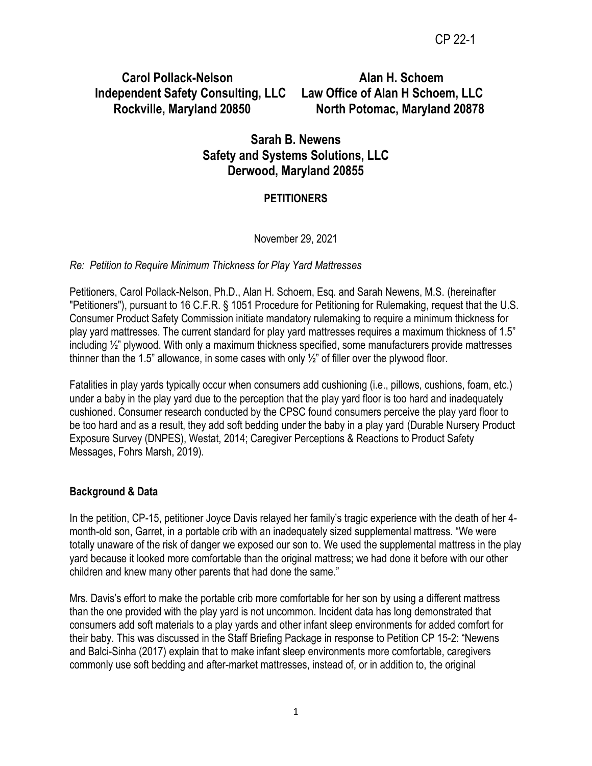# **Carol Pollack-Nelson Alan H. Schoem Independent Safety Consulting, LLC Law Office of Alan H Schoem, LLC**

 **Rockville, Maryland 20850 North Potomac, Maryland 20878**

# **Sarah B. Newens Safety and Systems Solutions, LLC Derwood, Maryland 20855**

# **PETITIONERS**

# November 29, 2021

# *Re: Petition to Require Minimum Thickness for Play Yard Mattresses*

Petitioners, Carol Pollack-Nelson, Ph.D., Alan H. Schoem, Esq. and Sarah Newens, M.S. (hereinafter "Petitioners"), pursuant to 16 C.F.R. § 1051 Procedure for Petitioning for Rulemaking, request that the U.S. Consumer Product Safety Commission initiate mandatory rulemaking to require a minimum thickness for play yard mattresses. The current standard for play yard mattresses requires a maximum thickness of 1.5" including ½" plywood. With only a maximum thickness specified, some manufacturers provide mattresses thinner than the 1.5" allowance, in some cases with only  $\frac{1}{2}$ " of filler over the plywood floor.

Fatalities in play yards typically occur when consumers add cushioning (i.e., pillows, cushions, foam, etc.) under a baby in the play yard due to the perception that the play yard floor is too hard and inadequately cushioned. Consumer research conducted by the CPSC found consumers perceive the play yard floor to be too hard and as a result, they add soft bedding under the baby in a play yard (Durable Nursery Product Exposure Survey (DNPES), Westat, 2014; Caregiver Perceptions & Reactions to Product Safety Messages, Fohrs Marsh, 2019).

# **Background & Data**

In the petition, CP-15, petitioner Joyce Davis relayed her family's tragic experience with the death of her 4 month-old son, Garret, in a portable crib with an inadequately sized supplemental mattress. "We were totally unaware of the risk of danger we exposed our son to. We used the supplemental mattress in the play yard because it looked more comfortable than the original mattress; we had done it before with our other children and knew many other parents that had done the same."

Mrs. Davis's effort to make the portable crib more comfortable for her son by using a different mattress than the one provided with the play yard is not uncommon. Incident data has long demonstrated that consumers add soft materials to a play yards and other infant sleep environments for added comfort for their baby. This was discussed in the Staff Briefing Package in response to Petition CP 15-2: "Newens and Balci-Sinha (2017) explain that to make infant sleep environments more comfortable, caregivers commonly use soft bedding and after-market mattresses, instead of, or in addition to, the original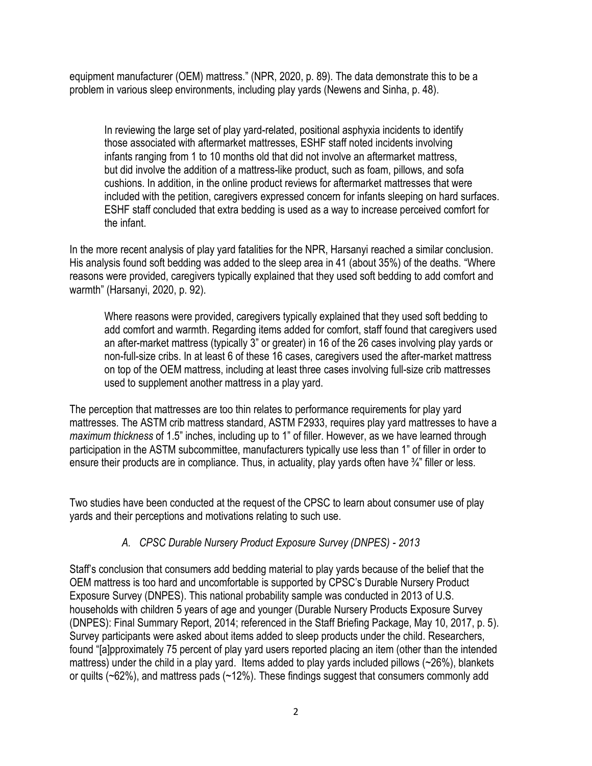equipment manufacturer (OEM) mattress." (NPR, 2020, p. 89). The data demonstrate this to be a problem in various sleep environments, including play yards (Newens and Sinha, p. 48).

In reviewing the large set of play yard-related, positional asphyxia incidents to identify those associated with aftermarket mattresses, ESHF staff noted incidents involving infants ranging from 1 to 10 months old that did not involve an aftermarket mattress, but did involve the addition of a mattress-like product, such as foam, pillows, and sofa cushions. In addition, in the online product reviews for aftermarket mattresses that were included with the petition, caregivers expressed concern for infants sleeping on hard surfaces. ESHF staff concluded that extra bedding is used as a way to increase perceived comfort for the infant.

In the more recent analysis of play yard fatalities for the NPR, Harsanyi reached a similar conclusion. His analysis found soft bedding was added to the sleep area in 41 (about 35%) of the deaths. "Where reasons were provided, caregivers typically explained that they used soft bedding to add comfort and warmth" (Harsanyi, 2020, p. 92).

Where reasons were provided, caregivers typically explained that they used soft bedding to add comfort and warmth. Regarding items added for comfort, staff found that caregivers used an after-market mattress (typically 3" or greater) in 16 of the 26 cases involving play yards or non-full-size cribs. In at least 6 of these 16 cases, caregivers used the after-market mattress on top of the OEM mattress, including at least three cases involving full-size crib mattresses used to supplement another mattress in a play yard.

The perception that mattresses are too thin relates to performance requirements for play yard mattresses. The ASTM crib mattress standard, ASTM F2933, requires play yard mattresses to have a *maximum thickness* of 1.5" inches, including up to 1" of filler. However, as we have learned through participation in the ASTM subcommittee, manufacturers typically use less than 1" of filler in order to ensure their products are in compliance. Thus, in actuality, play yards often have 3/4" filler or less.

Two studies have been conducted at the request of the CPSC to learn about consumer use of play yards and their perceptions and motivations relating to such use.

# *A. CPSC Durable Nursery Product Exposure Survey (DNPES) - 2013*

Staff's conclusion that consumers add bedding material to play yards because of the belief that the OEM mattress is too hard and uncomfortable is supported by CPSC's Durable Nursery Product Exposure Survey (DNPES). This national probability sample was conducted in 2013 of U.S. households with children 5 years of age and younger (Durable Nursery Products Exposure Survey (DNPES): Final Summary Report, 2014; referenced in the Staff Briefing Package, May 10, 2017, p. 5). Survey participants were asked about items added to sleep products under the child. Researchers, found "[a]pproximately 75 percent of play yard users reported placing an item (other than the intended mattress) under the child in a play yard. Items added to play yards included pillows (~26%), blankets or quilts (~62%), and mattress pads (~12%). These findings suggest that consumers commonly add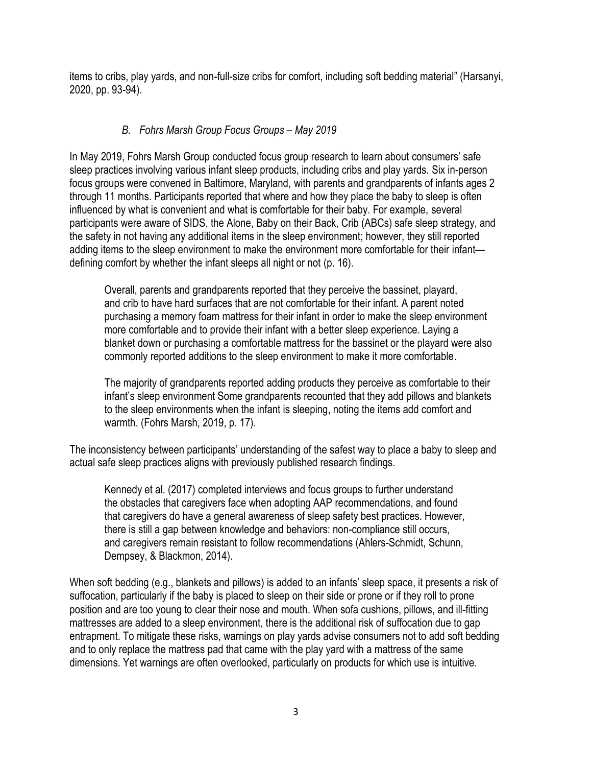items to cribs, play yards, and non-full-size cribs for comfort, including soft bedding material" (Harsanyi, 2020, pp. 93-94).

# *B. Fohrs Marsh Group Focus Groups – May 2019*

In May 2019, Fohrs Marsh Group conducted focus group research to learn about consumers' safe sleep practices involving various infant sleep products, including cribs and play yards. Six in-person focus groups were convened in Baltimore, Maryland, with parents and grandparents of infants ages 2 through 11 months. Participants reported that where and how they place the baby to sleep is often influenced by what is convenient and what is comfortable for their baby. For example, several participants were aware of SIDS, the Alone, Baby on their Back, Crib (ABCs) safe sleep strategy, and the safety in not having any additional items in the sleep environment; however, they still reported adding items to the sleep environment to make the environment more comfortable for their infant defining comfort by whether the infant sleeps all night or not (p. 16).

Overall, parents and grandparents reported that they perceive the bassinet, playard, and crib to have hard surfaces that are not comfortable for their infant. A parent noted purchasing a memory foam mattress for their infant in order to make the sleep environment more comfortable and to provide their infant with a better sleep experience. Laying a blanket down or purchasing a comfortable mattress for the bassinet or the playard were also commonly reported additions to the sleep environment to make it more comfortable.

The majority of grandparents reported adding products they perceive as comfortable to their infant's sleep environment Some grandparents recounted that they add pillows and blankets to the sleep environments when the infant is sleeping, noting the items add comfort and warmth. (Fohrs Marsh, 2019, p. 17).

The inconsistency between participants' understanding of the safest way to place a baby to sleep and actual safe sleep practices aligns with previously published research findings.

Kennedy et al. (2017) completed interviews and focus groups to further understand the obstacles that caregivers face when adopting AAP recommendations, and found that caregivers do have a general awareness of sleep safety best practices. However, there is still a gap between knowledge and behaviors: non-compliance still occurs, and caregivers remain resistant to follow recommendations (Ahlers-Schmidt, Schunn, Dempsey, & Blackmon, 2014).

When soft bedding (e.g., blankets and pillows) is added to an infants' sleep space, it presents a risk of suffocation, particularly if the baby is placed to sleep on their side or prone or if they roll to prone position and are too young to clear their nose and mouth. When sofa cushions, pillows, and ill-fitting mattresses are added to a sleep environment, there is the additional risk of suffocation due to gap entrapment. To mitigate these risks, warnings on play yards advise consumers not to add soft bedding and to only replace the mattress pad that came with the play yard with a mattress of the same dimensions. Yet warnings are often overlooked, particularly on products for which use is intuitive.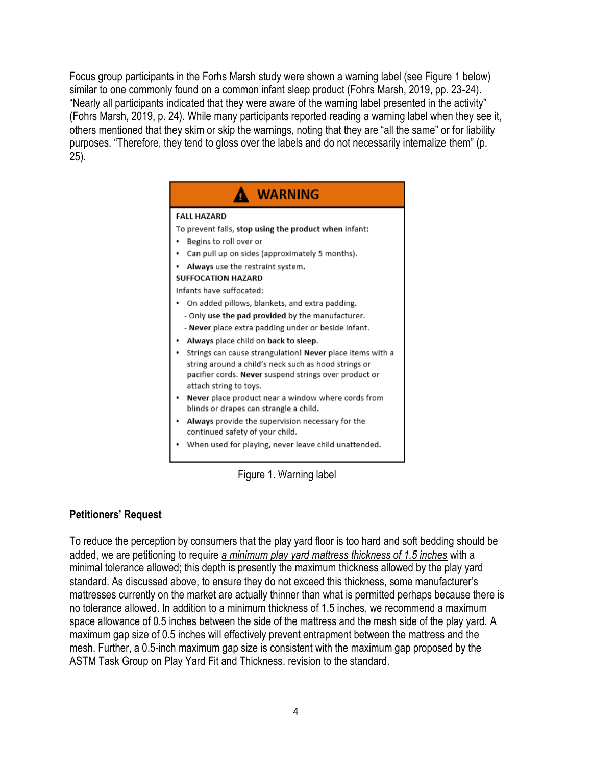Focus group participants in the Forhs Marsh study were shown a warning label (see Figure 1 below) similar to one commonly found on a common infant sleep product (Fohrs Marsh, 2019, pp. 23-24). "Nearly all participants indicated that they were aware of the warning label presented in the activity" (Fohrs Marsh, 2019, p. 24). While many participants reported reading a warning label when they see it, others mentioned that they skim or skip the warnings, noting that they are "all the same" or for liability purposes. "Therefore, they tend to gloss over the labels and do not necessarily internalize them" (p. 25).



Figure 1. Warning label

# **Petitioners' Request**

To reduce the perception by consumers that the play yard floor is too hard and soft bedding should be added, we are petitioning to require *a minimum play yard mattress thickness of 1.5 inches* with a minimal tolerance allowed; this depth is presently the maximum thickness allowed by the play yard standard. As discussed above, to ensure they do not exceed this thickness, some manufacturer's mattresses currently on the market are actually thinner than what is permitted perhaps because there is no tolerance allowed. In addition to a minimum thickness of 1.5 inches, we recommend a maximum space allowance of 0.5 inches between the side of the mattress and the mesh side of the play yard. A maximum gap size of 0.5 inches will effectively prevent entrapment between the mattress and the mesh. Further, a 0.5-inch maximum gap size is consistent with the maximum gap proposed by the ASTM Task Group on Play Yard Fit and Thickness. revision to the standard.